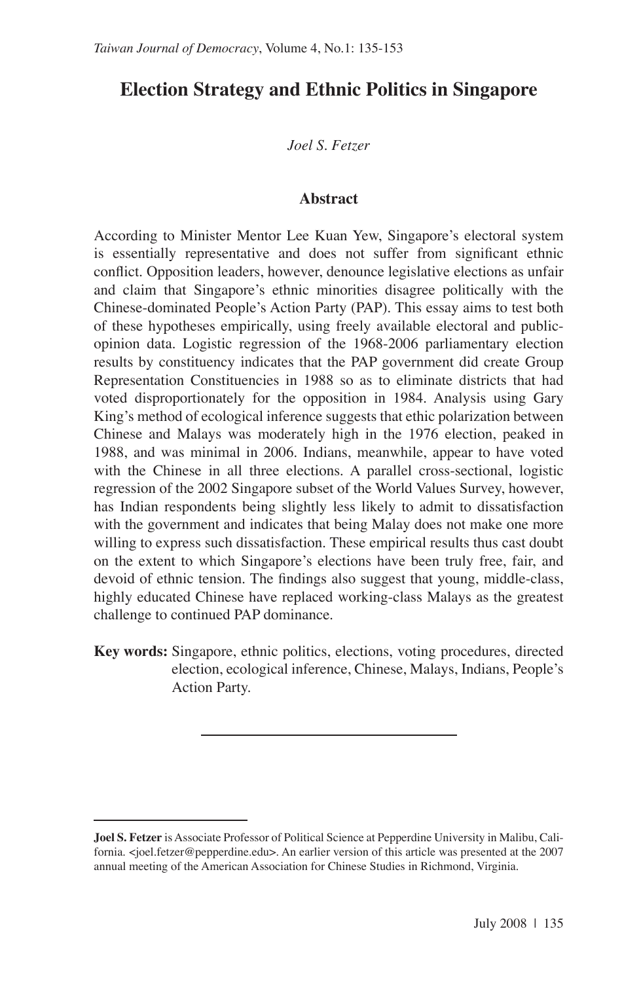# **Election Strategy and Ethnic Politics in Singapore**

*Joel S. Fetzer*

#### **Abstract**

According to Minister Mentor Lee Kuan Yew, Singapore's electoral system is essentially representative and does not suffer from significant ethnic conflict. Opposition leaders, however, denounce legislative elections as unfair and claim that Singapore's ethnic minorities disagree politically with the Chinese-dominated People's Action Party (PAP). This essay aims to test both of these hypotheses empirically, using freely available electoral and publicopinion data. Logistic regression of the 1968-2006 parliamentary election results by constituency indicates that the PAP government did create Group Representation Constituencies in 1988 so as to eliminate districts that had voted disproportionately for the opposition in 1984. Analysis using Gary King's method of ecological inference suggests that ethic polarization between Chinese and Malays was moderately high in the 1976 election, peaked in 1988, and was minimal in 2006. Indians, meanwhile, appear to have voted with the Chinese in all three elections. A parallel cross-sectional, logistic regression of the 2002 Singapore subset of the World Values Survey, however, has Indian respondents being slightly less likely to admit to dissatisfaction with the government and indicates that being Malay does not make one more willing to express such dissatisfaction. These empirical results thus cast doubt on the extent to which Singapore's elections have been truly free, fair, and devoid of ethnic tension. The findings also suggest that young, middle-class, highly educated Chinese have replaced working-class Malays as the greatest challenge to continued PAP dominance.

**Key words:** Singapore, ethnic politics, elections, voting procedures, directed election, ecological inference, Chinese, Malays, Indians, People's Action Party.

**Joel S. Fetzer** is Associate Professor of Political Science at Pepperdine University in Malibu, California. <joel.fetzer@pepperdine.edu>. An earlier version of this article was presented at the 2007 annual meeting of the American Association for Chinese Studies in Richmond, Virginia.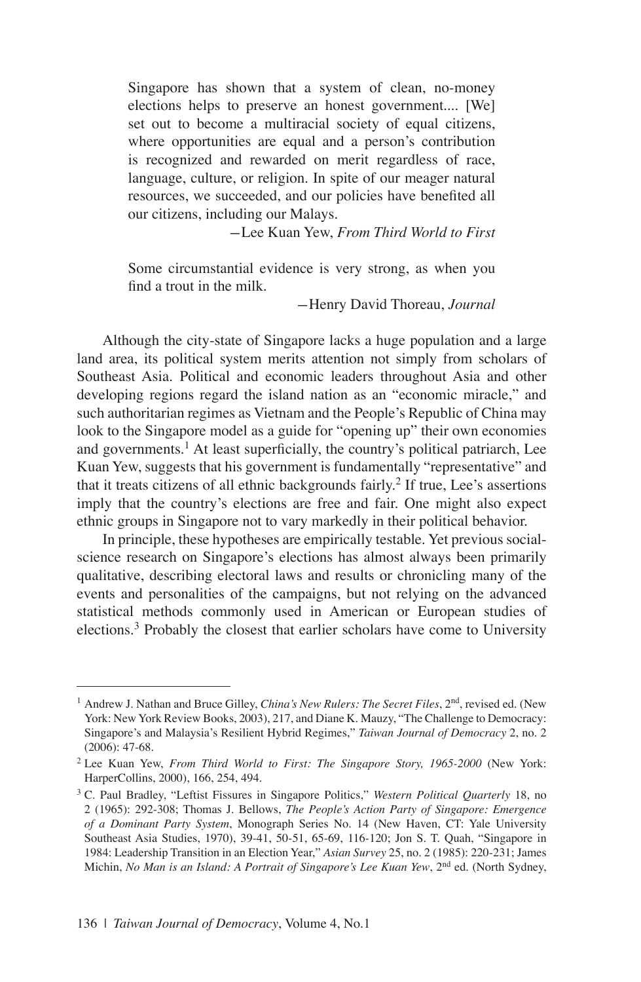Singapore has shown that a system of clean, no-money elections helps to preserve an honest government.... [We] set out to become a multiracial society of equal citizens, where opportunities are equal and a person's contribution is recognized and rewarded on merit regardless of race, language, culture, or religion. In spite of our meager natural resources, we succeeded, and our policies have benefited all our citizens, including our Malays.

-Lee Kuan Yew, *From Third World to First*

Some circumstantial evidence is very strong, as when you find a trout in the milk.

-Henry David Thoreau, *Journal*

Although the city-state of Singapore lacks a huge population and a large land area, its political system merits attention not simply from scholars of Southeast Asia. Political and economic leaders throughout Asia and other developing regions regard the island nation as an "economic miracle," and such authoritarian regimes as Vietnam and the People's Republic of China may look to the Singapore model as a guide for "opening up" their own economies and governments.<sup>1</sup> At least superficially, the country's political patriarch, Lee Kuan Yew, suggests that his government is fundamentally "representative" and that it treats citizens of all ethnic backgrounds fairly.<sup>2</sup> If true, Lee's assertions imply that the country's elections are free and fair. One might also expect ethnic groups in Singapore not to vary markedly in their political behavior.

In principle, these hypotheses are empirically testable. Yet previous socialscience research on Singapore's elections has almost always been primarily qualitative, describing electoral laws and results or chronicling many of the events and personalities of the campaigns, but not relying on the advanced statistical methods commonly used in American or European studies of elections.<sup>3</sup> Probably the closest that earlier scholars have come to University

<sup>1</sup> Andrew J. Nathan and Bruce Gilley, *China's New Rulers: The Secret Files*, 2nd, revised ed. (New York: New York Review Books, 2003), 217, and Diane K. Mauzy, "The Challenge to Democracy: Singapore's and Malaysia's Resilient Hybrid Regimes," *Taiwan Journal of Democracy* 2, no. 2 (2006): 47-68.

<sup>2</sup> Lee Kuan Yew, *From Third World to First: The Singapore Story, 1965-2000* (New York: HarperCollins, 2000), 166, 254, 494.

<sup>3</sup> C. Paul Bradley, "Leftist Fissures in Singapore Politics," *Western Political Quarterly* 18, no 2 (1965): 292-308; Thomas J. Bellows, *The People's Action Party of Singapore: Emergence of a Dominant Party System*, Monograph Series No. 14 (New Haven, CT: Yale University Southeast Asia Studies, 1970), 39-41, 50-51, 65-69, 116-120; Jon S. T. Quah, "Singapore in 1984: Leadership Transition in an Election Year," *Asian Survey* 25, no. 2 (1985): 220-231; James Michin, *No Man is an Island: A Portrait of Singapore's Lee Kuan Yew*, 2nd ed. (North Sydney,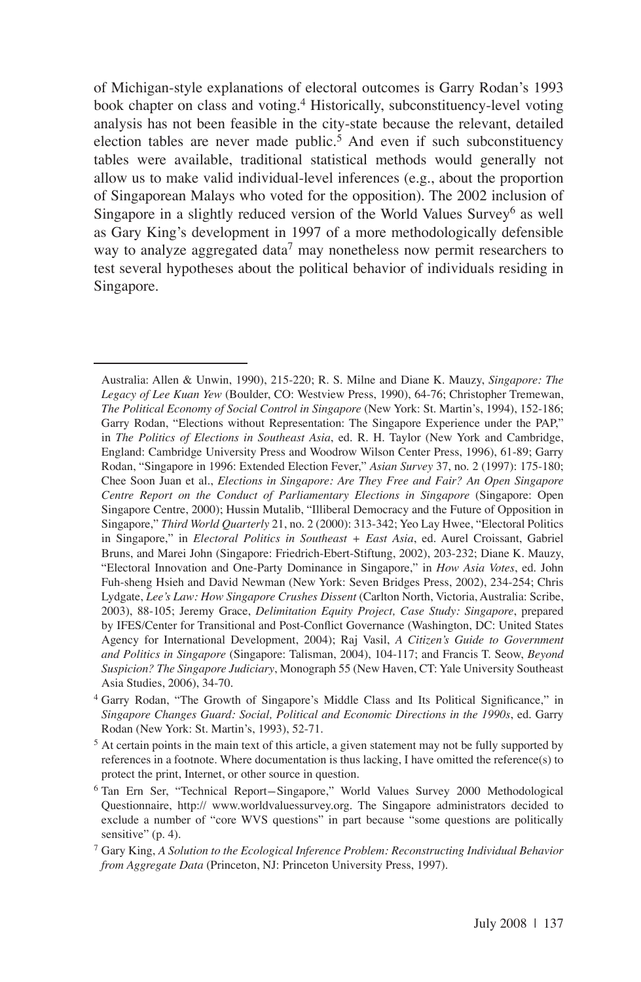of Michigan-style explanations of electoral outcomes is Garry Rodan's 1993 book chapter on class and voting.<sup>4</sup> Historically, subconstituency-level voting analysis has not been feasible in the city-state because the relevant, detailed election tables are never made public.<sup>5</sup> And even if such subconstituency tables were available, traditional statistical methods would generally not allow us to make valid individual-level inferences (e.g., about the proportion of Singaporean Malays who voted for the opposition). The 2002 inclusion of Singapore in a slightly reduced version of the World Values  $S$ urvey<sup>6</sup> as well as Gary King's development in 1997 of a more methodologically defensible way to analyze aggregated data<sup>7</sup> may nonetheless now permit researchers to test several hypotheses about the political behavior of individuals residing in Singapore.

Australia: Allen & Unwin, 1990), 215-220; R. S. Milne and Diane K. Mauzy, *Singapore: The Legacy of Lee Kuan Yew* (Boulder, CO: Westview Press, 1990), 64-76; Christopher Tremewan, *The Political Economy of Social Control in Singapore* (New York: St. Martin's, 1994), 152-186; Garry Rodan, "Elections without Representation: The Singapore Experience under the PAP," in *The Politics of Elections in Southeast Asia*, ed. R. H. Taylor (New York and Cambridge, England: Cambridge University Press and Woodrow Wilson Center Press, 1996), 61-89; Garry Rodan, "Singapore in 1996: Extended Election Fever," *Asian Survey* 37, no. 2 (1997): 175-180; Chee Soon Juan et al., *Elections in Singapore: Are They Free and Fair? An Open Singapore Centre Report on the Conduct of Parliamentary Elections in Singapore* (Singapore: Open Singapore Centre, 2000); Hussin Mutalib, "Illiberal Democracy and the Future of Opposition in Singapore," *Third World Quarterly* 21, no. 2 (2000): 313-342; Yeo Lay Hwee, "Electoral Politics in Singapore," in *Electoral Politics in Southeast + East Asia*, ed. Aurel Croissant, Gabriel Bruns, and Marei John (Singapore: Friedrich-Ebert-Stiftung, 2002), 203-232; Diane K. Mauzy, "Electoral Innovation and One-Party Dominance in Singapore," in *How Asia Votes*, ed. John Fuh-sheng Hsieh and David Newman (New York: Seven Bridges Press, 2002), 234-254; Chris Lydgate, *Lee's Law: How Singapore Crushes Dissent* (Carlton North, Victoria, Australia: Scribe, 2003), 88-105; Jeremy Grace, *Delimitation Equity Project, Case Study: Singapore*, prepared by IFES/Center for Transitional and Post-Conflict Governance (Washington, DC: United States Agency for International Development, 2004); Raj Vasil, *A Citizen's Guide to Government and Politics in Singapore* (Singapore: Talisman, 2004), 104-117; and Francis T. Seow, *Beyond Suspicion? The Singapore Judiciary*, Monograph 55 (New Haven, CT: Yale University Southeast Asia Studies, 2006), 34-70.

<sup>4</sup> Garry Rodan, "The Growth of Singapore's Middle Class and Its Political Significance," in *Singapore Changes Guard: Social, Political and Economic Directions in the 1990s*, ed. Garry Rodan (New York: St. Martin's, 1993), 52-71.

<sup>&</sup>lt;sup>5</sup> At certain points in the main text of this article, a given statement may not be fully supported by references in a footnote. Where documentation is thus lacking, I have omitted the reference(s) to protect the print, Internet, or other source in question.

<sup>6</sup> Tan Ern Ser, "Technical Report-Singapore," World Values Survey 2000 Methodological Questionnaire, http:// www.worldvaluessurvey.org. The Singapore administrators decided to exclude a number of "core WVS questions" in part because "some questions are politically sensitive" (p. 4).

<sup>7</sup> Gary King, *A Solution to the Ecological Inference Problem: Reconstructing Individual Behavior from Aggregate Data* (Princeton, NJ: Princeton University Press, 1997).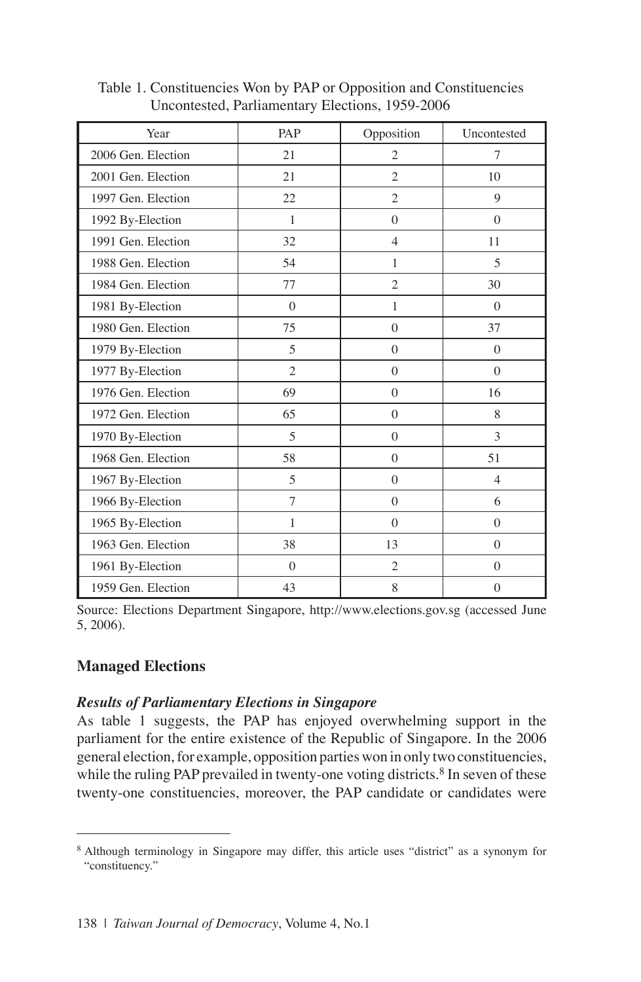| Year               | PAP            | Opposition     | Uncontested    |
|--------------------|----------------|----------------|----------------|
| 2006 Gen. Election | 21             | $\overline{2}$ | 7              |
| 2001 Gen. Election | 21             | $\overline{2}$ | 10             |
| 1997 Gen. Election | 22             | $\overline{2}$ | 9              |
| 1992 By-Election   | 1              | $\Omega$       | $\Omega$       |
| 1991 Gen. Election | 32             | $\overline{4}$ | 11             |
| 1988 Gen. Election | 54             | $\mathbf{1}$   | 5              |
| 1984 Gen. Election | 77             | $\overline{2}$ | 30             |
| 1981 By-Election   | $\Omega$       | 1              | $\theta$       |
| 1980 Gen. Election | 75             | $\Omega$       | 37             |
| 1979 By-Election   | 5              | $\theta$       | $\Omega$       |
| 1977 By-Election   | $\overline{2}$ | $\theta$       | $\theta$       |
| 1976 Gen. Election | 69             | $\Omega$       | 16             |
| 1972 Gen. Election | 65             | $\mathbf{0}$   | 8              |
| 1970 By-Election   | 5              | $\mathbf{0}$   | 3              |
| 1968 Gen. Election | 58             | $\theta$       | 51             |
| 1967 By-Election   | 5              | $\Omega$       | $\overline{4}$ |
| 1966 By-Election   | $\overline{7}$ | $\mathbf{0}$   | 6              |
| 1965 By-Election   | 1              | $\theta$       | $\theta$       |
| 1963 Gen. Election | 38             | 13             | $\Omega$       |
| 1961 By-Election   | $\Omega$       | $\overline{2}$ | $\Omega$       |
| 1959 Gen. Election | 43             | 8              | $\mathbf{0}$   |

Table 1. Constituencies Won by PAP or Opposition and Constituencies Uncontested, Parliamentary Elections, 1959-2006

Source: Elections Department Singapore, http://www.elections.gov.sg (accessed June 5, 2006).

### **Managed Elections**

### *Results of Parliamentary Elections in Singapore*

As table 1 suggests, the PAP has enjoyed overwhelming support in the parliament for the entire existence of the Republic of Singapore. In the 2006 general election, for example, opposition parties won in only two constituencies, while the ruling PAP prevailed in twenty-one voting districts.<sup>8</sup> In seven of these twenty-one constituencies, moreover, the PAP candidate or candidates were

<sup>&</sup>lt;sup>8</sup> Although terminology in Singapore may differ, this article uses "district" as a synonym for "constituency."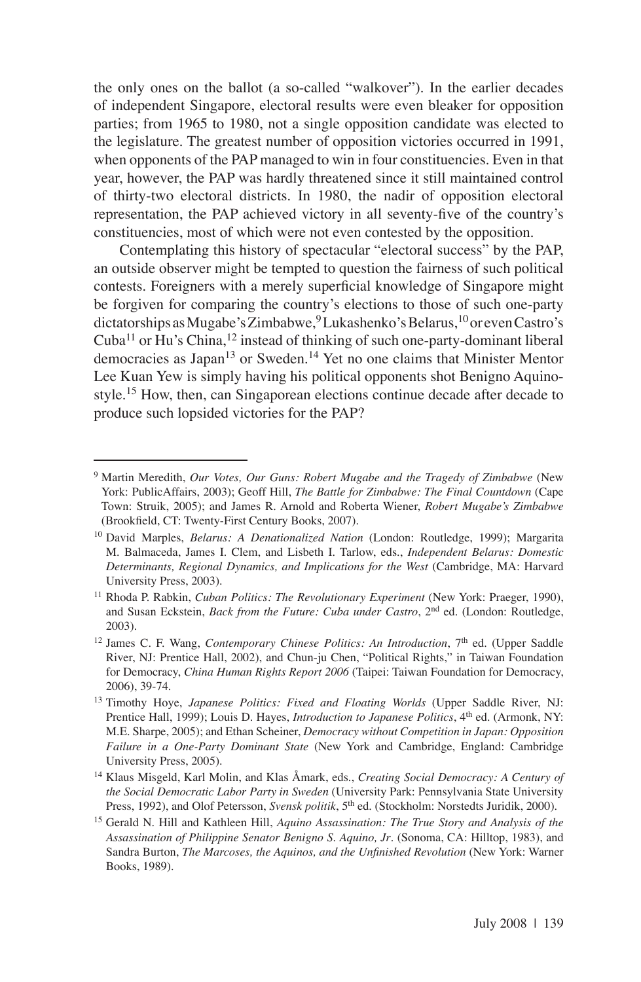the only ones on the ballot (a so-called "walkover"). In the earlier decades of independent Singapore, electoral results were even bleaker for opposition parties; from 1965 to 1980, not a single opposition candidate was elected to the legislature. The greatest number of opposition victories occurred in 1991, when opponents of the PAP managed to win in four constituencies. Even in that year, however, the PAP was hardly threatened since it still maintained control of thirty-two electoral districts. In 1980, the nadir of opposition electoral representation, the PAP achieved victory in all seventy-five of the country's constituencies, most of which were not even contested by the opposition.

Contemplating this history of spectacular "electoral success" by the PAP, an outside observer might be tempted to question the fairness of such political contests. Foreigners with a merely superficial knowledge of Singapore might be forgiven for comparing the country's elections to those of such one-party dictatorships as Mugabe's Zimbabwe,  $\rm^9$  Lukashenko's Belarus,  $\rm^{10}$ or even Castro's Cuba<sup>11</sup> or Hu's China,<sup>12</sup> instead of thinking of such one-party-dominant liberal democracies as Japan<sup>13</sup> or Sweden.<sup>14</sup> Yet no one claims that Minister Mentor Lee Kuan Yew is simply having his political opponents shot Benigno Aquinostyle.<sup>15</sup> How, then, can Singaporean elections continue decade after decade to produce such lopsided victories for the PAP?

<sup>9</sup> Martin Meredith, *Our Votes, Our Guns: Robert Mugabe and the Tragedy of Zimbabwe* (New York: PublicAffairs, 2003); Geoff Hill, *The Battle for Zimbabwe: The Final Countdown* (Cape Town: Struik, 2005); and James R. Arnold and Roberta Wiener, *Robert Mugabe's Zimbabwe* (Brookfield, CT: Twenty-First Century Books, 2007).

<sup>10</sup> David Marples, *Belarus: A Denationalized Nation* (London: Routledge, 1999); Margarita M. Balmaceda, James I. Clem, and Lisbeth I. Tarlow, eds., *Independent Belarus: Domestic Determinants, Regional Dynamics, and Implications for the West* (Cambridge, MA: Harvard University Press, 2003).

<sup>&</sup>lt;sup>11</sup> Rhoda P. Rabkin, *Cuban Politics: The Revolutionary Experiment* (New York: Praeger, 1990), and Susan Eckstein, *Back from the Future: Cuba under Castro*, 2<sup>nd</sup> ed. (London: Routledge, 2003).

<sup>&</sup>lt;sup>12</sup> James C. F. Wang, *Contemporary Chinese Politics: An Introduction*, 7<sup>th</sup> ed. (Upper Saddle River, NJ: Prentice Hall, 2002), and Chun-ju Chen, "Political Rights," in Taiwan Foundation for Democracy, *China Human Rights Report 2006* (Taipei: Taiwan Foundation for Democracy, 2006), 39-74.

<sup>13</sup> Timothy Hoye, *Japanese Politics: Fixed and Floating Worlds* (Upper Saddle River, NJ: Prentice Hall, 1999); Louis D. Hayes, *Introduction to Japanese Politics*, 4<sup>th</sup> ed. (Armonk, NY: M.E. Sharpe, 2005); and Ethan Scheiner, *Democracy without Competition in Japan: Opposition Failure in a One-Party Dominant State* (New York and Cambridge, England: Cambridge University Press, 2005).

<sup>14</sup> Klaus Misgeld, Karl Molin, and Klas Åmark, eds., *Creating Social Democracy: A Century of the Social Democratic Labor Party in Sweden* (University Park: Pennsylvania State University Press, 1992), and Olof Petersson, *Svensk politik*, 5<sup>th</sup> ed. (Stockholm: Norstedts Juridik, 2000).

<sup>15</sup> Gerald N. Hill and Kathleen Hill, *Aquino Assassination: The True Story and Analysis of the Assassination of Philippine Senator Benigno S. Aquino, Jr*. (Sonoma, CA: Hilltop, 1983), and Sandra Burton, *The Marcoses, the Aquinos, and the Unfinished Revolution* (New York: Warner Books, 1989).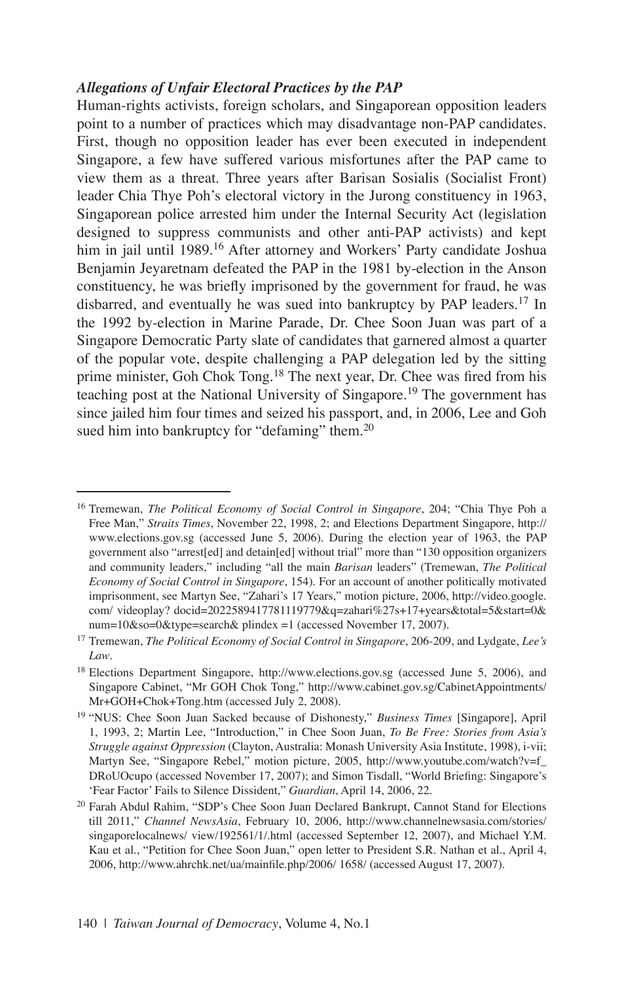### *Allegations of Unfair Electoral Practices by the PAP*

Human-rights activists, foreign scholars, and Singaporean opposition leaders point to a number of practices which may disadvantage non-PAP candidates. First, though no opposition leader has ever been executed in independent Singapore, a few have suffered various misfortunes after the PAP came to view them as a threat. Three years after Barisan Sosialis (Socialist Front) leader Chia Thye Poh's electoral victory in the Jurong constituency in 1963, Singaporean police arrested him under the Internal Security Act (legislation designed to suppress communists and other anti-PAP activists) and kept him in jail until 1989.<sup>16</sup> After attorney and Workers' Party candidate Joshua Benjamin Jeyaretnam defeated the PAP in the 1981 by-election in the Anson constituency, he was briefly imprisoned by the government for fraud, he was disbarred, and eventually he was sued into bankruptcy by PAP leaders.<sup>17</sup> In the 1992 by-election in Marine Parade, Dr. Chee Soon Juan was part of a Singapore Democratic Party slate of candidates that garnered almost a quarter of the popular vote, despite challenging a PAP delegation led by the sitting prime minister, Goh Chok Tong.<sup>18</sup> The next year, Dr. Chee was fired from his teaching post at the National University of Singapore.<sup>19</sup> The government has since jailed him four times and seized his passport, and, in 2006, Lee and Goh sued him into bankruptcy for "defaming" them.<sup>20</sup>

<sup>16</sup> Tremewan, *The Political Economy of Social Control in Singapore*, 204; "Chia Thye Poh a Free Man," *Straits Times*, November 22, 1998, 2; and Elections Department Singapore, http:// www.elections.gov.sg (accessed June 5, 2006). During the election year of 1963, the PAP government also "arrest[ed] and detain[ed] without trial" more than "130 opposition organizers and community leaders," including "all the main *Barisan* leaders" (Tremewan, *The Political Economy of Social Control in Singapore*, 154). For an account of another politically motivated imprisonment, see Martyn See, "Zahari's 17 Years," motion picture, 2006, http://video.google. com/ videoplay? docid=2022589417781119779&q=zahari%27s+17+years&total=5&start=0& num=10&so=0&type=search& plindex =1 (accessed November 17, 2007).

<sup>17</sup> Tremewan, *The Political Economy of Social Control in Singapore*, 206-209, and Lydgate, *Lee's Law*.

<sup>&</sup>lt;sup>18</sup> Elections Department Singapore, http://www.elections.gov.sg (accessed June 5, 2006), and Singapore Cabinet, "Mr GOH Chok Tong," http://www.cabinet.gov.sg/CabinetAppointments/ Mr+GOH+Chok+Tong.htm (accessed July 2, 2008).

<sup>19</sup> "NUS: Chee Soon Juan Sacked because of Dishonesty," *Business Times* [Singapore], April 1, 1993, 2; Martin Lee, "Introduction," in Chee Soon Juan, *To Be Free: Stories from Asia's Struggle against Oppression* (Clayton, Australia: Monash University Asia Institute, 1998), i-vii; Martyn See, "Singapore Rebel," motion picture, 2005, http://www.youtube.com/watch?v=f\_ DRoUOcupo (accessed November 17, 2007); and Simon Tisdall, "World Briefing: Singapore's 'Fear Factor' Fails to Silence Dissident," *Guardian*, April 14, 2006, 22.

<sup>20</sup> Farah Abdul Rahim, "SDP's Chee Soon Juan Declared Bankrupt, Cannot Stand for Elections till 2011," *Channel NewsAsia*, February 10, 2006, http://www.channelnewsasia.com/stories/ singaporelocalnews/ view/192561/1/.html (accessed September 12, 2007), and Michael Y.M. Kau et al., "Petition for Chee Soon Juan," open letter to President S.R. Nathan et al., April 4, 2006, http://www.ahrchk.net/ua/mainfile.php/2006/ 1658/ (accessed August 17, 2007).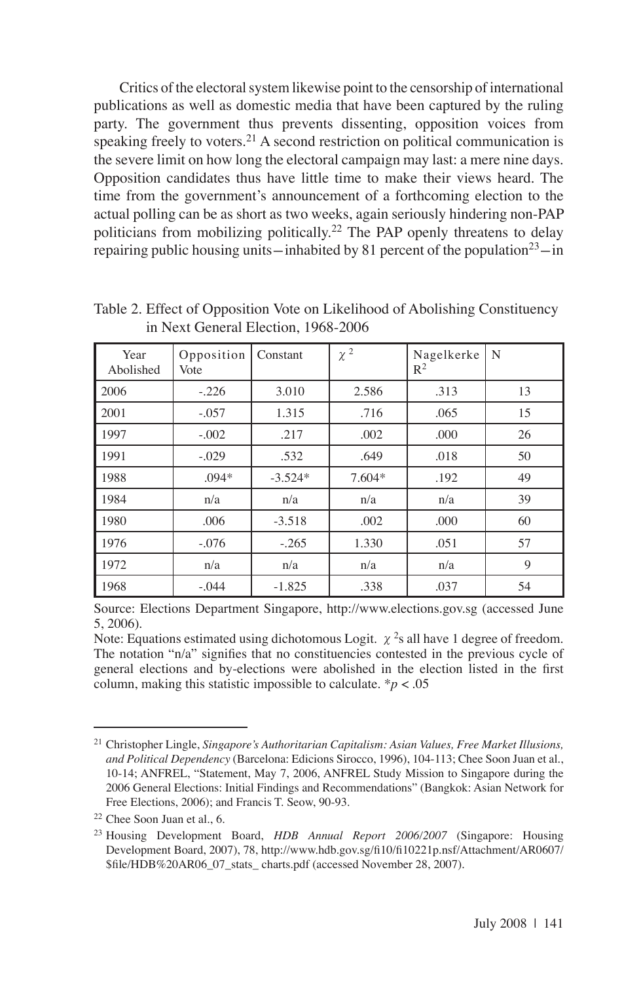Critics of the electoral system likewise point to the censorship of international publications as well as domestic media that have been captured by the ruling party. The government thus prevents dissenting, opposition voices from speaking freely to voters.<sup>21</sup> A second restriction on political communication is the severe limit on how long the electoral campaign may last: a mere nine days. Opposition candidates thus have little time to make their views heard. The time from the government's announcement of a forthcoming election to the actual polling can be as short as two weeks, again seriously hindering non-PAP politicians from mobilizing politically.<sup>22</sup> The PAP openly threatens to delay repairing public housing units—inhabited by 81 percent of the population<sup>23</sup>—in

| Year<br>Abolished | Opposition<br>Vote | Constant  | $\chi^2$ | Nagelkerke<br>$R^2$ | N  |
|-------------------|--------------------|-----------|----------|---------------------|----|
| 2006              | $-.226$            | 3.010     | 2.586    | .313                | 13 |
| 2001              | $-.057$            | 1.315     | .716     | .065                | 15 |
| 1997              | $-.002$            | .217      | .002     | .000                | 26 |
| 1991              | $-.029$            | .532      | .649     | .018                | 50 |
| 1988              | $.094*$            | $-3.524*$ | $7.604*$ | .192                | 49 |
| 1984              | n/a                | n/a       | n/a      | n/a                 | 39 |
| 1980              | .006               | $-3.518$  | .002     | .000                | 60 |
| 1976              | $-.076$            | $-.265$   | 1.330    | .051                | 57 |
| 1972              | n/a                | n/a       | n/a      | n/a                 | 9  |
| 1968              | $-.044$            | $-1.825$  | .338     | .037                | 54 |

Table 2. Effect of Opposition Vote on Likelihood of Abolishing Constituency in Next General Election, 1968-2006

Source: Elections Department Singapore, http://www.elections.gov.sg (accessed June 5, 2006).

Note: Equations estimated using dichotomous Logit.  $\chi^2$ s all have 1 degree of freedom. The notation "n/a" signifies that no constituencies contested in the previous cycle of general elections and by-elections were abolished in the election listed in the first column, making this statistic impossible to calculate.  $p < .05$ 

<sup>21</sup> Christopher Lingle, *Singapore's Authoritarian Capitalism: Asian Values, Free Market Illusions, and Political Dependency* (Barcelona: Edicions Sirocco, 1996), 104-113; Chee Soon Juan et al., 10-14; ANFREL, "Statement, May 7, 2006, ANFREL Study Mission to Singapore during the 2006 General Elections: Initial Findings and Recommendations" (Bangkok: Asian Network for Free Elections, 2006); and Francis T. Seow, 90-93.

<sup>22</sup> Chee Soon Juan et al., 6.

<sup>23</sup> Housing Development Board, *HDB Annual Report 2006/2007* (Singapore: Housing Development Board, 2007), 78, http://www.hdb.gov.sg/fi10/fi10221p.nsf/Attachment/AR0607/ \$file/HDB%20AR06\_07\_stats\_ charts.pdf (accessed November 28, 2007).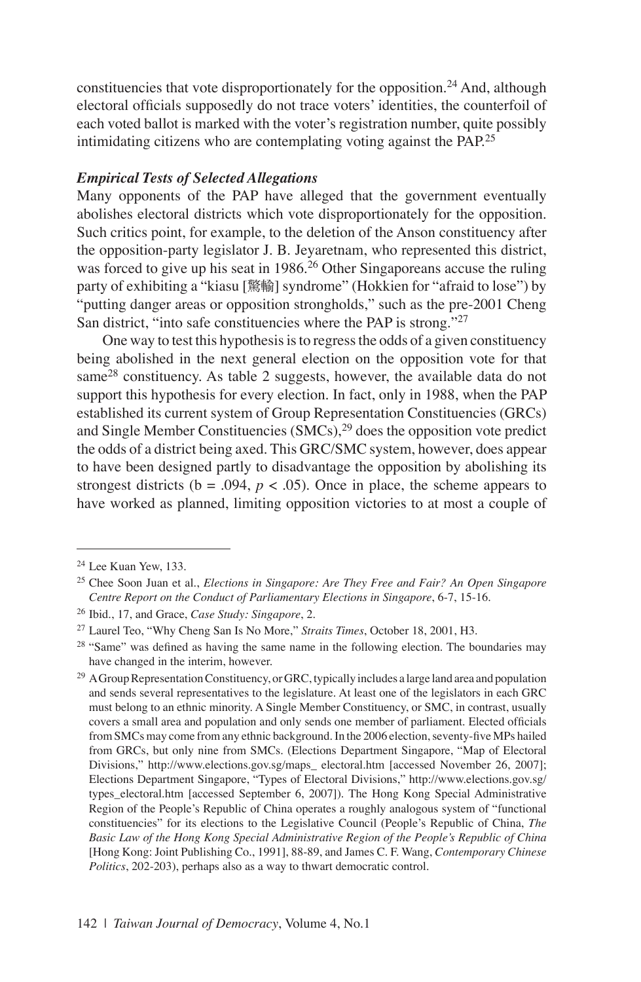constituencies that vote disproportionately for the opposition.<sup>24</sup> And, although electoral officials supposedly do not trace voters' identities, the counterfoil of each voted ballot is marked with the voter's registration number, quite possibly intimidating citizens who are contemplating voting against the PAP.<sup>25</sup>

#### *Empirical Tests of Selected Allegations*

Many opponents of the PAP have alleged that the government eventually abolishes electoral districts which vote disproportionately for the opposition. Such critics point, for example, to the deletion of the Anson constituency after the opposition-party legislator J. B. Jeyaretnam, who represented this district, was forced to give up his seat in 1986.<sup>26</sup> Other Singaporeans accuse the ruling party of exhibiting a "kiasu [驚輸] syndrome" (Hokkien for "afraid to lose") by "putting danger areas or opposition strongholds," such as the pre-2001 Cheng San district, "into safe constituencies where the PAP is strong."27

One way to test this hypothesis is to regress the odds of a given constituency being abolished in the next general election on the opposition vote for that same $28$  constituency. As table 2 suggests, however, the available data do not support this hypothesis for every election. In fact, only in 1988, when the PAP established its current system of Group Representation Constituencies (GRCs) and Single Member Constituencies  $(SMCs)$ <sup>29</sup> does the opposition vote predict the odds of a district being axed. This GRC/SMC system, however, does appear to have been designed partly to disadvantage the opposition by abolishing its strongest districts ( $b = .094$ ,  $p < .05$ ). Once in place, the scheme appears to have worked as planned, limiting opposition victories to at most a couple of

<sup>24</sup> Lee Kuan Yew, 133.

<sup>25</sup> Chee Soon Juan et al., *Elections in Singapore: Are They Free and Fair? An Open Singapore Centre Report on the Conduct of Parliamentary Elections in Singapore*, 6-7, 15-16.

<sup>26</sup> Ibid., 17, and Grace, *Case Study: Singapore*, 2.

<sup>27</sup> Laurel Teo, "Why Cheng San Is No More," *Straits Times*, October 18, 2001, H3.

<sup>&</sup>lt;sup>28</sup> "Same" was defined as having the same name in the following election. The boundaries may have changed in the interim, however.

<sup>&</sup>lt;sup>29</sup> A Group Representation Constituency, or GRC, typically includes a large land area and population and sends several representatives to the legislature. At least one of the legislators in each GRC must belong to an ethnic minority. A Single Member Constituency, or SMC, in contrast, usually covers a small area and population and only sends one member of parliament. Elected officials from SMCs may come from any ethnic background. In the 2006 election, seventy-five MPs hailed from GRCs, but only nine from SMCs. (Elections Department Singapore, "Map of Electoral Divisions," http://www.elections.gov.sg/maps\_ electoral.htm [accessed November 26, 2007]; Elections Department Singapore, "Types of Electoral Divisions," http://www.elections.gov.sg/ types\_electoral.htm [accessed September 6, 2007]). The Hong Kong Special Administrative Region of the People's Republic of China operates a roughly analogous system of "functional constituencies" for its elections to the Legislative Council (People's Republic of China, *The Basic Law of the Hong Kong Special Administrative Region of the People's Republic of China* [Hong Kong: Joint Publishing Co., 1991], 88-89, and James C. F. Wang, *Contemporary Chinese Politics*, 202-203), perhaps also as a way to thwart democratic control.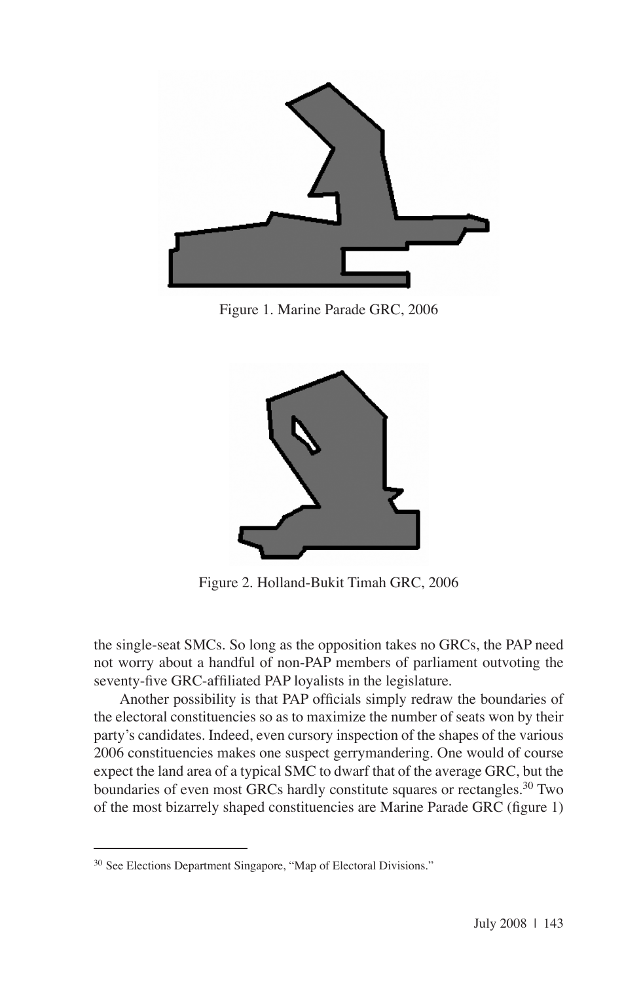

Figure 1. Marine Parade GRC, 2006



Figure 2. Holland-Bukit Timah GRC, 2006

the single-seat SMCs. So long as the opposition takes no GRCs, the PAP need not worry about a handful of non-PAP members of parliament outvoting the seventy-five GRC-affiliated PAP loyalists in the legislature.

Another possibility is that PAP officials simply redraw the boundaries of the electoral constituencies so as to maximize the number of seats won by their party's candidates. Indeed, even cursory inspection of the shapes of the various 2006 constituencies makes one suspect gerrymandering. One would of course expect the land area of a typical SMC to dwarf that of the average GRC, but the boundaries of even most GRCs hardly constitute squares or rectangles.<sup>30</sup> Two of the most bizarrely shaped constituencies are Marine Parade GRC (figure 1)

<sup>&</sup>lt;sup>30</sup> See Elections Department Singapore, "Map of Electoral Divisions."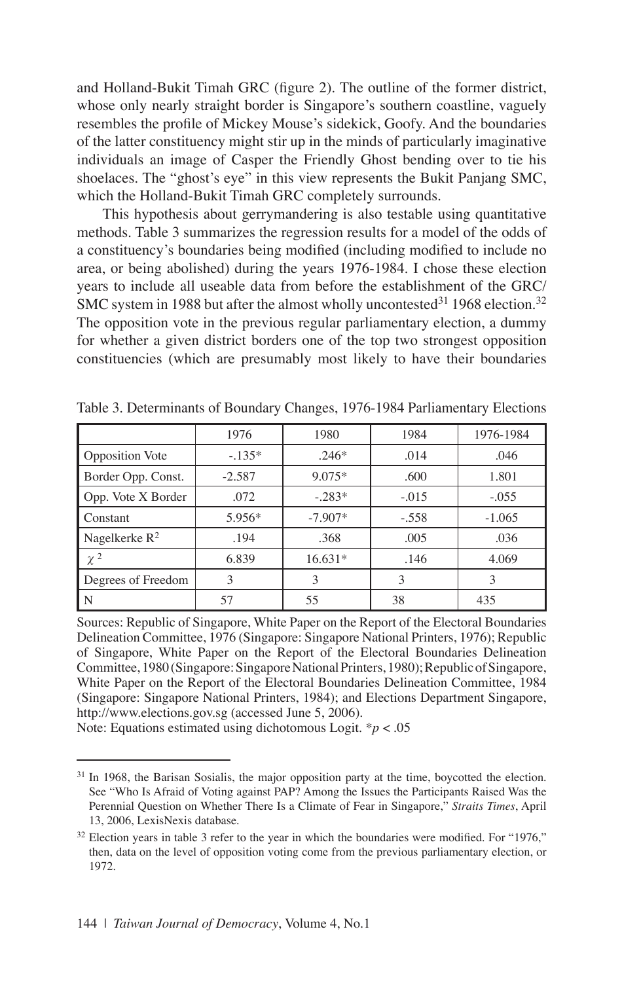and Holland-Bukit Timah GRC (figure 2). The outline of the former district, whose only nearly straight border is Singapore's southern coastline, vaguely resembles the profile of Mickey Mouse's sidekick, Goofy. And the boundaries of the latter constituency might stir up in the minds of particularly imaginative individuals an image of Casper the Friendly Ghost bending over to tie his shoelaces. The "ghost's eye" in this view represents the Bukit Panjang SMC, which the Holland-Bukit Timah GRC completely surrounds.

This hypothesis about gerrymandering is also testable using quantitative methods. Table 3 summarizes the regression results for a model of the odds of a constituency's boundaries being modified (including modified to include no area, or being abolished) during the years 1976-1984. I chose these election years to include all useable data from before the establishment of the GRC/ SMC system in 1988 but after the almost wholly uncontested  $31$  1968 election.<sup>32</sup> The opposition vote in the previous regular parliamentary election, a dummy for whether a given district borders one of the top two strongest opposition constituencies (which are presumably most likely to have their boundaries

|                        | 1976     | 1980      | 1984    | 1976-1984 |
|------------------------|----------|-----------|---------|-----------|
| <b>Opposition Vote</b> | $-.135*$ | $.246*$   | .014    | .046      |
| Border Opp. Const.     | $-2.587$ | $9.075*$  | .600    | 1.801     |
| Opp. Vote X Border     | .072     | $-.283*$  | $-.015$ | $-.055$   |
| Constant               | $5.956*$ | $-7.907*$ | $-.558$ | $-1.065$  |
| Nagelkerke $R^2$       | .194     | .368      | .005    | .036      |
| $\chi^2$               | 6.839    | $16.631*$ | .146    | 4.069     |
| Degrees of Freedom     | 3        | 3         | 3       | 3         |
| N                      | 57       | 55        | 38      | 435       |

Table 3. Determinants of Boundary Changes, 1976-1984 Parliamentary Elections

Sources: Republic of Singapore, White Paper on the Report of the Electoral Boundaries Delineation Committee, 1976 (Singapore: Singapore National Printers, 1976); Republic of Singapore, White Paper on the Report of the Electoral Boundaries Delineation Committee, 1980 (Singapore: Singapore National Printers, 1980); Republic of Singapore, White Paper on the Report of the Electoral Boundaries Delineation Committee, 1984 (Singapore: Singapore National Printers, 1984); and Elections Department Singapore, http://www.elections.gov.sg (accessed June 5, 2006).

Note: Equations estimated using dichotomous Logit. \**p* < .05

<sup>&</sup>lt;sup>31</sup> In 1968, the Barisan Sosialis, the major opposition party at the time, boycotted the election. See "Who Is Afraid of Voting against PAP? Among the Issues the Participants Raised Was the Perennial Question on Whether There Is a Climate of Fear in Singapore," *Straits Times*, April 13, 2006, LexisNexis database.

 $32$  Election years in table 3 refer to the year in which the boundaries were modified. For "1976," then, data on the level of opposition voting come from the previous parliamentary election, or 1972.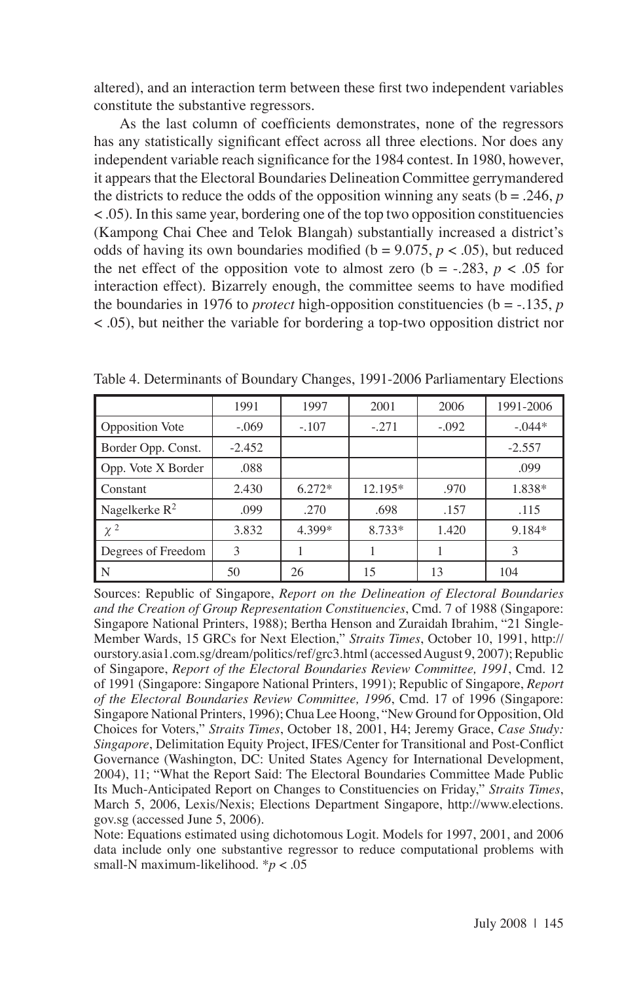altered), and an interaction term between these first two independent variables constitute the substantive regressors.

As the last column of coefficients demonstrates, none of the regressors has any statistically significant effect across all three elections. Nor does any independent variable reach significance for the 1984 contest. In 1980, however, it appears that the Electoral Boundaries Delineation Committee gerrymandered the districts to reduce the odds of the opposition winning any seats ( $b = .246$ , *p* < .05). In this same year, bordering one of the top two opposition constituencies (Kampong Chai Chee and Telok Blangah) substantially increased a district's odds of having its own boundaries modified ( $b = 9.075$ ,  $p < .05$ ), but reduced the net effect of the opposition vote to almost zero ( $b = -.283$ ,  $p < .05$  for interaction effect). Bizarrely enough, the committee seems to have modified the boundaries in 1976 to *protect* high-opposition constituencies ( $b = -135$ , *p* < .05), but neither the variable for bordering a top-two opposition district nor

|                        | 1991     | 1997     | 2001    | 2006    | 1991-2006 |
|------------------------|----------|----------|---------|---------|-----------|
| <b>Opposition</b> Vote | $-.069$  | $-.107$  | $-.271$ | $-.092$ | $-.044*$  |
| Border Opp. Const.     | $-2.452$ |          |         |         | $-2.557$  |
| Opp. Vote X Border     | .088     |          |         |         | .099      |
| Constant               | 2.430    | $6.272*$ | 12.195* | .970    | 1.838*    |
| Nagelkerke $R^2$       | .099     | .270     | .698    | .157    | .115      |
| $\chi^2$               | 3.832    | 4.399*   | 8.733*  | 1.420   | 9.184*    |
| Degrees of Freedom     | 3        |          |         |         | 3         |
| N                      | 50       | 26       | 15      | 13      | 104       |

Table 4. Determinants of Boundary Changes, 1991-2006 Parliamentary Elections

Sources: Republic of Singapore, *Report on the Delineation of Electoral Boundaries and the Creation of Group Representation Constituencies*, Cmd. 7 of 1988 (Singapore: Singapore National Printers, 1988); Bertha Henson and Zuraidah Ibrahim, "21 Single-Member Wards, 15 GRCs for Next Election," *Straits Times*, October 10, 1991, http:// ourstory.asia1.com.sg/dream/politics/ref/grc3.html (accessed August 9, 2007); Republic of Singapore, *Report of the Electoral Boundaries Review Committee, 1991*, Cmd. 12 of 1991 (Singapore: Singapore National Printers, 1991); Republic of Singapore, *Report of the Electoral Boundaries Review Committee, 1996*, Cmd. 17 of 1996 (Singapore: Singapore National Printers, 1996); Chua Lee Hoong, "New Ground for Opposition, Old Choices for Voters," *Straits Times*, October 18, 2001, H4; Jeremy Grace, *Case Study: Singapore*, Delimitation Equity Project, IFES/Center for Transitional and Post-Conflict Governance (Washington, DC: United States Agency for International Development, 2004), 11; "What the Report Said: The Electoral Boundaries Committee Made Public Its Much-Anticipated Report on Changes to Constituencies on Friday," *Straits Times*, March 5, 2006, Lexis/Nexis; Elections Department Singapore, http://www.elections. gov.sg (accessed June 5, 2006).

Note: Equations estimated using dichotomous Logit. Models for 1997, 2001, and 2006 data include only one substantive regressor to reduce computational problems with small-N maximum-likelihood. \**p* < .05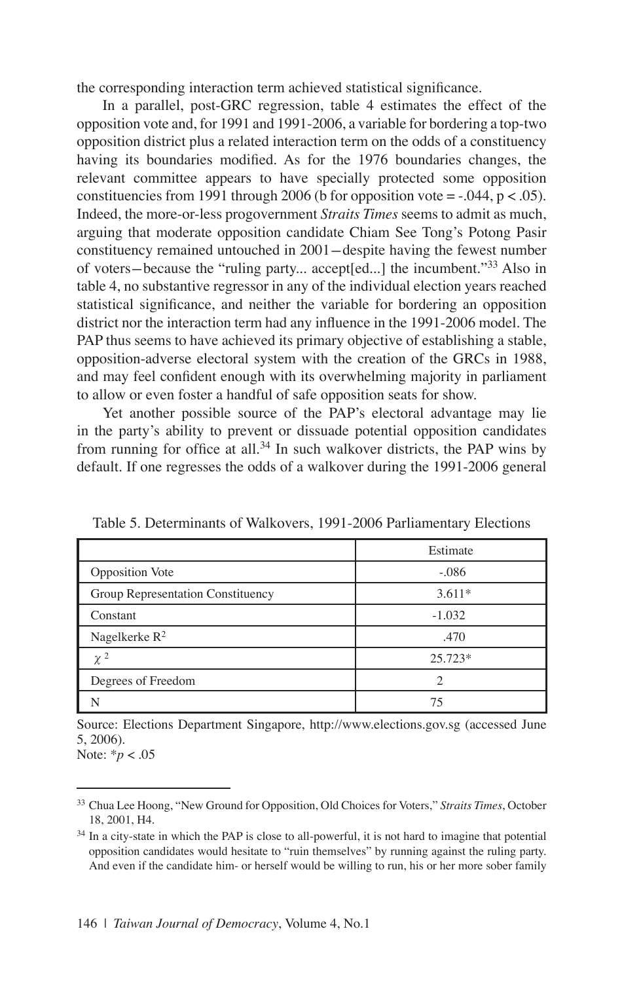the corresponding interaction term achieved statistical significance.

In a parallel, post-GRC regression, table 4 estimates the effect of the opposition vote and, for 1991 and 1991-2006, a variable for bordering a top-two opposition district plus a related interaction term on the odds of a constituency having its boundaries modified. As for the 1976 boundaries changes, the relevant committee appears to have specially protected some opposition constituencies from 1991 through 2006 (b for opposition vote =  $-.044$ , p < .05). Indeed, the more-or-less progovernment *Straits Times* seems to admit as much, arguing that moderate opposition candidate Chiam See Tong's Potong Pasir constituency remained untouched in 2001-despite having the fewest number of voters-because the "ruling party... accept[ed...] the incumbent."33 Also in table 4, no substantive regressor in any of the individual election years reached statistical significance, and neither the variable for bordering an opposition district nor the interaction term had any influence in the 1991-2006 model. The PAP thus seems to have achieved its primary objective of establishing a stable, opposition-adverse electoral system with the creation of the GRCs in 1988, and may feel confident enough with its overwhelming majority in parliament to allow or even foster a handful of safe opposition seats for show.

Yet another possible source of the PAP's electoral advantage may lie in the party's ability to prevent or dissuade potential opposition candidates from running for office at all.<sup>34</sup> In such walkover districts, the PAP wins by default. If one regresses the odds of a walkover during the 1991-2006 general

|                                   | Estimate  |
|-----------------------------------|-----------|
| <b>Opposition Vote</b>            | $-.086$   |
| Group Representation Constituency | $3.611*$  |
| Constant                          | $-1.032$  |
| Nagelkerke $R^2$                  | .470      |
| $\chi^2$                          | $25.723*$ |
| Degrees of Freedom                | C         |
| N                                 | 75        |

Table 5. Determinants of Walkovers, 1991-2006 Parliamentary Elections

Source: Elections Department Singapore, http://www.elections.gov.sg (accessed June 5, 2006).

Note: \**p* < .05

<sup>33</sup> Chua Lee Hoong, "New Ground for Opposition, Old Choices for Voters," *Straits Times*, October 18, 2001, H4.

<sup>&</sup>lt;sup>34</sup> In a city-state in which the PAP is close to all-powerful, it is not hard to imagine that potential opposition candidates would hesitate to "ruin themselves" by running against the ruling party. And even if the candidate him- or herself would be willing to run, his or her more sober family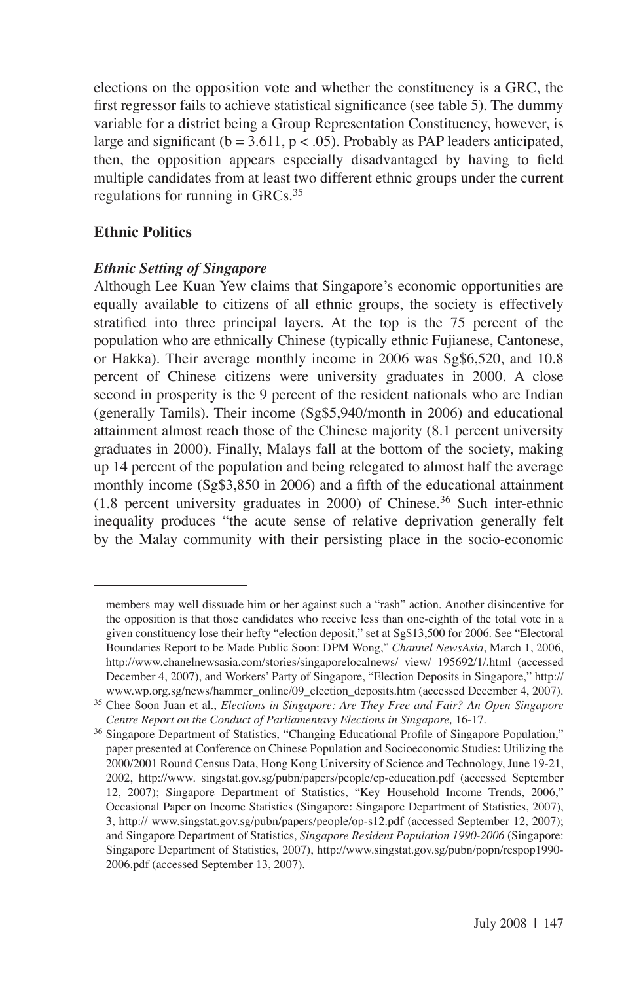elections on the opposition vote and whether the constituency is a GRC, the first regressor fails to achieve statistical significance (see table 5). The dummy variable for a district being a Group Representation Constituency, however, is large and significant ( $b = 3.611$ ,  $p < .05$ ). Probably as PAP leaders anticipated, then, the opposition appears especially disadvantaged by having to field multiple candidates from at least two different ethnic groups under the current regulations for running in GRCs.<sup>35</sup>

## **Ethnic Politics**

### *Ethnic Setting of Singapore*

Although Lee Kuan Yew claims that Singapore's economic opportunities are equally available to citizens of all ethnic groups, the society is effectively stratified into three principal layers. At the top is the 75 percent of the population who are ethnically Chinese (typically ethnic Fujianese, Cantonese, or Hakka). Their average monthly income in 2006 was Sg\$6,520, and 10.8 percent of Chinese citizens were university graduates in 2000. A close second in prosperity is the 9 percent of the resident nationals who are Indian (generally Tamils). Their income (Sg\$5,940/month in 2006) and educational attainment almost reach those of the Chinese majority (8.1 percent university graduates in 2000). Finally, Malays fall at the bottom of the society, making up 14 percent of the population and being relegated to almost half the average monthly income (Sg\$3,850 in 2006) and a fifth of the educational attainment  $(1.8$  percent university graduates in 2000) of Chinese.<sup>36</sup> Such inter-ethnic inequality produces "the acute sense of relative deprivation generally felt by the Malay community with their persisting place in the socio-economic

members may well dissuade him or her against such a "rash" action. Another disincentive for the opposition is that those candidates who receive less than one-eighth of the total vote in a given constituency lose their hefty "election deposit," set at Sg\$13,500 for 2006. See "Electoral Boundaries Report to be Made Public Soon: DPM Wong," *Channel NewsAsia*, March 1, 2006, http://www.chanelnewsasia.com/stories/singaporelocalnews/ view/ 195692/1/.html (accessed December 4, 2007), and Workers' Party of Singapore, "Election Deposits in Singapore," http:// www.wp.org.sg/news/hammer\_online/09\_election\_deposits.htm (accessed December 4, 2007).

<sup>35</sup> Chee Soon Juan et al., *Elections in Singapore: Are They Free and Fair? An Open Singapore Centre Report on the Conduct of Parliamentavy Elections in Singapore,* 16-17.

<sup>&</sup>lt;sup>36</sup> Singapore Department of Statistics, "Changing Educational Profile of Singapore Population," paper presented at Conference on Chinese Population and Socioeconomic Studies: Utilizing the 2000/2001 Round Census Data, Hong Kong University of Science and Technology, June 19-21, 2002, http://www. singstat.gov.sg/pubn/papers/people/cp-education.pdf (accessed September 12, 2007); Singapore Department of Statistics, "Key Household Income Trends, 2006," Occasional Paper on Income Statistics (Singapore: Singapore Department of Statistics, 2007), 3, http:// www.singstat.gov.sg/pubn/papers/people/op-s12.pdf (accessed September 12, 2007); and Singapore Department of Statistics, *Singapore Resident Population 1990-2006* (Singapore: Singapore Department of Statistics, 2007), http://www.singstat.gov.sg/pubn/popn/respop1990- 2006.pdf (accessed September 13, 2007).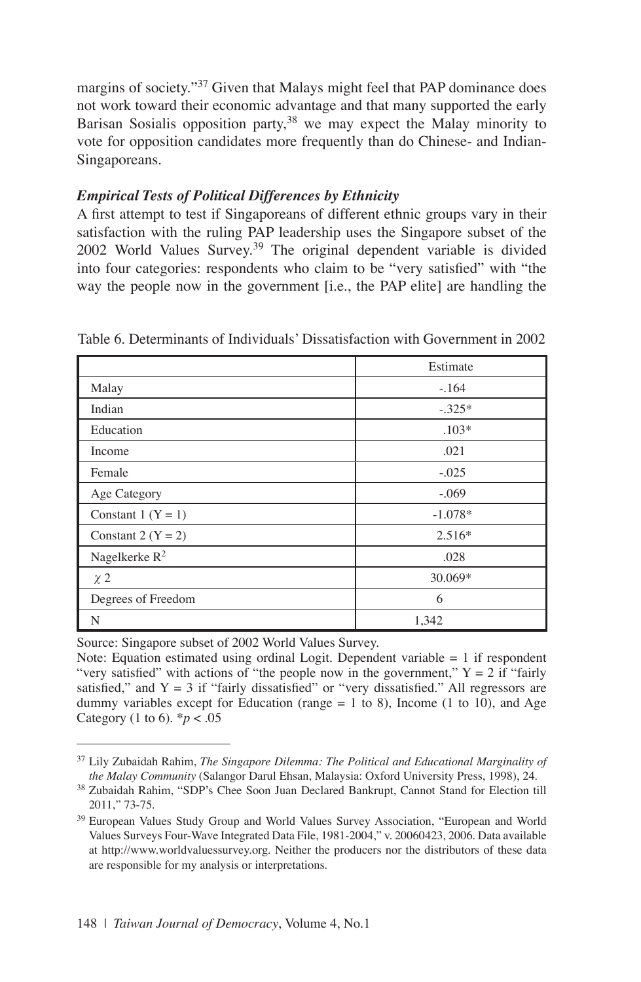margins of society."<sup>37</sup> Given that Malays might feel that PAP dominance does not work toward their economic advantage and that many supported the early Barisan Sosialis opposition party,<sup>38</sup> we may expect the Malay minority to vote for opposition candidates more frequently than do Chinese- and Indian-Singaporeans.

### *Empirical Tests of Political Differences by Ethnicity*

A first attempt to test if Singaporeans of different ethnic groups vary in their satisfaction with the ruling PAP leadership uses the Singapore subset of the 2002 World Values Survey.<sup>39</sup> The original dependent variable is divided into four categories: respondents who claim to be "very satisfied" with "the way the people now in the government [i.e., the PAP elite] are handling the

|                        | Estimate  |  |
|------------------------|-----------|--|
| Malay                  | $-.164$   |  |
| Indian                 | $-.325*$  |  |
| Education              | $.103*$   |  |
| Income                 | .021      |  |
| Female                 | $-.025$   |  |
| Age Category           | $-.069$   |  |
| Constant 1 $(Y = 1)$   | $-1.078*$ |  |
| Constant 2 ( $Y = 2$ ) | $2.516*$  |  |
| Nagelkerke $R^2$       | .028      |  |
| $\chi$ 2               | 30.069*   |  |
| Degrees of Freedom     | 6         |  |
| N                      | 1,342     |  |

Table 6. Determinants of Individuals' Dissatisfaction with Government in 2002

Source: Singapore subset of 2002 World Values Survey.

Note: Equation estimated using ordinal Logit. Dependent variable  $= 1$  if respondent "very satisfied" with actions of "the people now in the government,"  $Y = 2$  if "fairly" satisfied," and  $Y = 3$  if "fairly dissatisfied" or "very dissatisfied." All regressors are dummy variables except for Education (range = 1 to 8), Income (1 to 10), and Age Category (1 to 6).  $* p < .05$ 

<sup>37</sup> Lily Zubaidah Rahim, *The Singapore Dilemma: The Political and Educational Marginality of the Malay Community* (Salangor Darul Ehsan, Malaysia: Oxford University Press, 1998), 24.

<sup>38</sup> Zubaidah Rahim, "SDP's Chee Soon Juan Declared Bankrupt, Cannot Stand for Election till 2011," 73-75.

<sup>39</sup> European Values Study Group and World Values Survey Association, "European and World Values Surveys Four-Wave Integrated Data File, 1981-2004," v. 20060423, 2006. Data available at http://www.worldvaluessurvey.org. Neither the producers nor the distributors of these data are responsible for my analysis or interpretations.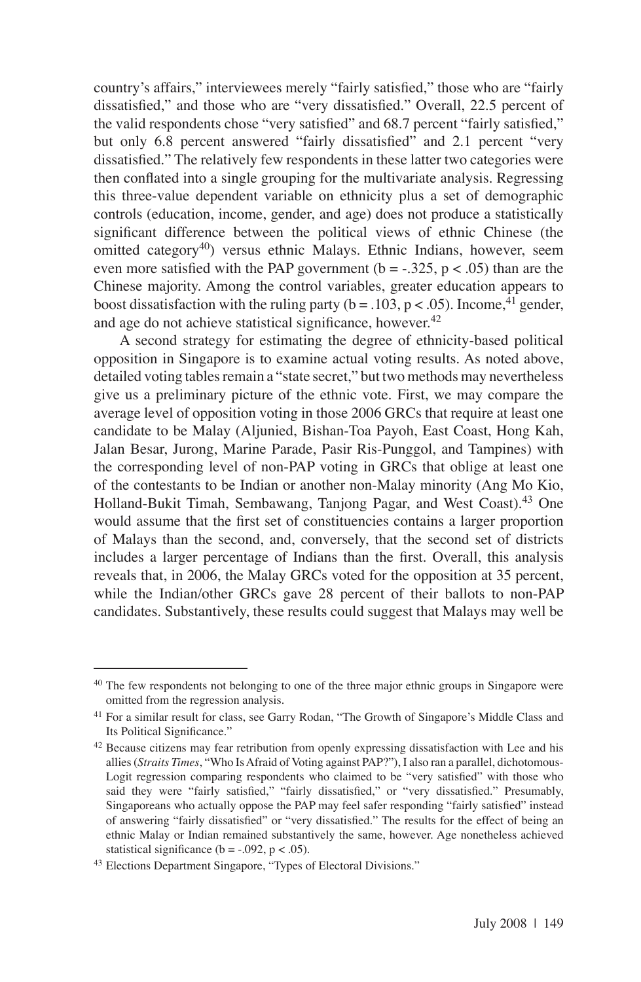country's affairs," interviewees merely "fairly satisfied," those who are "fairly dissatisfied," and those who are "very dissatisfied." Overall, 22.5 percent of the valid respondents chose "very satisfied" and 68.7 percent "fairly satisfied," but only 6.8 percent answered "fairly dissatisfied" and 2.1 percent "very dissatisfied." The relatively few respondents in these latter two categories were then conflated into a single grouping for the multivariate analysis. Regressing this three-value dependent variable on ethnicity plus a set of demographic controls (education, income, gender, and age) does not produce a statistically significant difference between the political views of ethnic Chinese (the omitted category<sup>40</sup>) versus ethnic Malays. Ethnic Indians, however, seem even more satisfied with the PAP government ( $b = -0.325$ ,  $p < 0.05$ ) than are the Chinese majority. Among the control variables, greater education appears to boost dissatisfaction with the ruling party ( $b = .103$ ,  $p < .05$ ). Income, <sup>41</sup> gender, and age do not achieve statistical significance, however.<sup>42</sup>

A second strategy for estimating the degree of ethnicity-based political opposition in Singapore is to examine actual voting results. As noted above, detailed voting tables remain a "state secret," but two methods may nevertheless give us a preliminary picture of the ethnic vote. First, we may compare the average level of opposition voting in those 2006 GRCs that require at least one candidate to be Malay (Aljunied, Bishan-Toa Payoh, East Coast, Hong Kah, Jalan Besar, Jurong, Marine Parade, Pasir Ris-Punggol, and Tampines) with the corresponding level of non-PAP voting in GRCs that oblige at least one of the contestants to be Indian or another non-Malay minority (Ang Mo Kio, Holland-Bukit Timah, Sembawang, Tanjong Pagar, and West Coast).<sup>43</sup> One would assume that the first set of constituencies contains a larger proportion of Malays than the second, and, conversely, that the second set of districts includes a larger percentage of Indians than the first. Overall, this analysis reveals that, in 2006, the Malay GRCs voted for the opposition at 35 percent, while the Indian/other GRCs gave 28 percent of their ballots to non-PAP candidates. Substantively, these results could suggest that Malays may well be

<sup>&</sup>lt;sup>40</sup> The few respondents not belonging to one of the three major ethnic groups in Singapore were omitted from the regression analysis.

<sup>&</sup>lt;sup>41</sup> For a similar result for class, see Garry Rodan, "The Growth of Singapore's Middle Class and Its Political Significance."

 $42$  Because citizens may fear retribution from openly expressing dissatisfaction with Lee and his allies (*Straits Times*, "Who Is Afraid of Voting against PAP?"), I also ran a parallel, dichotomous-Logit regression comparing respondents who claimed to be "very satisfied" with those who said they were "fairly satisfied," "fairly dissatisfied," or "very dissatisfied." Presumably, Singaporeans who actually oppose the PAP may feel safer responding "fairly satisfied" instead of answering "fairly dissatisfied" or "very dissatisfied." The results for the effect of being an ethnic Malay or Indian remained substantively the same, however. Age nonetheless achieved statistical significance (b =  $-.092$ , p <  $.05$ ).

<sup>43</sup> Elections Department Singapore, "Types of Electoral Divisions."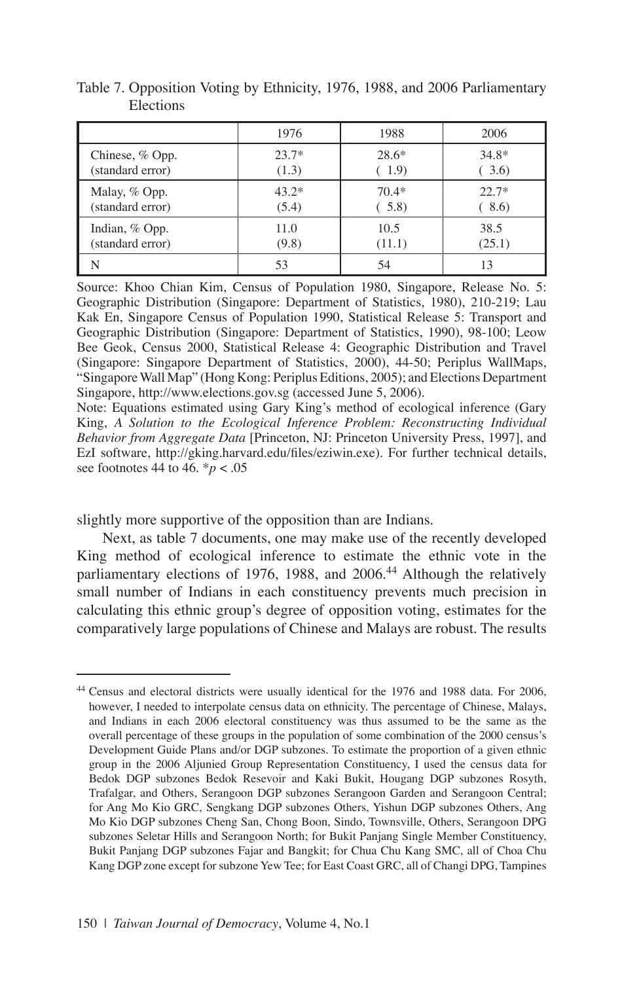|                  | 1976    | 1988    | 2006    |
|------------------|---------|---------|---------|
| Chinese, % Opp.  | $23.7*$ | $28.6*$ | $34.8*$ |
| (standard error) | (1.3)   | (1.9)   | 3.6     |
| Malay, % Opp.    | $43.2*$ | $70.4*$ | $22.7*$ |
| (standard error) | (5.4)   | (5.8)   | 8.6     |
| Indian, % Opp.   | 11.0    | 10.5    | 38.5    |
| (standard error) | (9.8)   | (11.1)  | (25.1)  |
|                  | 53      | 54      | 13      |

Table 7. Opposition Voting by Ethnicity, 1976, 1988, and 2006 Parliamentary Elections

Source: Khoo Chian Kim, Census of Population 1980, Singapore, Release No. 5: Geographic Distribution (Singapore: Department of Statistics, 1980), 210-219; Lau Kak En, Singapore Census of Population 1990, Statistical Release 5: Transport and Geographic Distribution (Singapore: Department of Statistics, 1990), 98-100; Leow Bee Geok, Census 2000, Statistical Release 4: Geographic Distribution and Travel (Singapore: Singapore Department of Statistics, 2000), 44-50; Periplus WallMaps, "Singapore Wall Map" (Hong Kong: Periplus Editions, 2005); and Elections Department Singapore, http://www.elections.gov.sg (accessed June 5, 2006).

Note: Equations estimated using Gary King's method of ecological inference (Gary King, *A Solution to the Ecological Inference Problem: Reconstructing Individual Behavior from Aggregate Data* [Princeton, NJ: Princeton University Press, 1997], and EzI software, http://gking.harvard.edu/files/eziwin.exe). For further technical details, see footnotes 44 to 46. \**p* < .05

slightly more supportive of the opposition than are Indians.

Next, as table 7 documents, one may make use of the recently developed King method of ecological inference to estimate the ethnic vote in the parliamentary elections of 1976, 1988, and 2006.<sup>44</sup> Although the relatively small number of Indians in each constituency prevents much precision in calculating this ethnic group's degree of opposition voting, estimates for the comparatively large populations of Chinese and Malays are robust. The results

<sup>44</sup> Census and electoral districts were usually identical for the 1976 and 1988 data. For 2006, however, I needed to interpolate census data on ethnicity. The percentage of Chinese, Malays, and Indians in each 2006 electoral constituency was thus assumed to be the same as the overall percentage of these groups in the population of some combination of the 2000 census's Development Guide Plans and/or DGP subzones. To estimate the proportion of a given ethnic group in the 2006 Aljunied Group Representation Constituency, I used the census data for Bedok DGP subzones Bedok Resevoir and Kaki Bukit, Hougang DGP subzones Rosyth, Trafalgar, and Others, Serangoon DGP subzones Serangoon Garden and Serangoon Central; for Ang Mo Kio GRC, Sengkang DGP subzones Others, Yishun DGP subzones Others, Ang Mo Kio DGP subzones Cheng San, Chong Boon, Sindo, Townsville, Others, Serangoon DPG subzones Seletar Hills and Serangoon North; for Bukit Panjang Single Member Constituency, Bukit Panjang DGP subzones Fajar and Bangkit; for Chua Chu Kang SMC, all of Choa Chu Kang DGP zone except for subzone Yew Tee; for East Coast GRC, all of Changi DPG, Tampines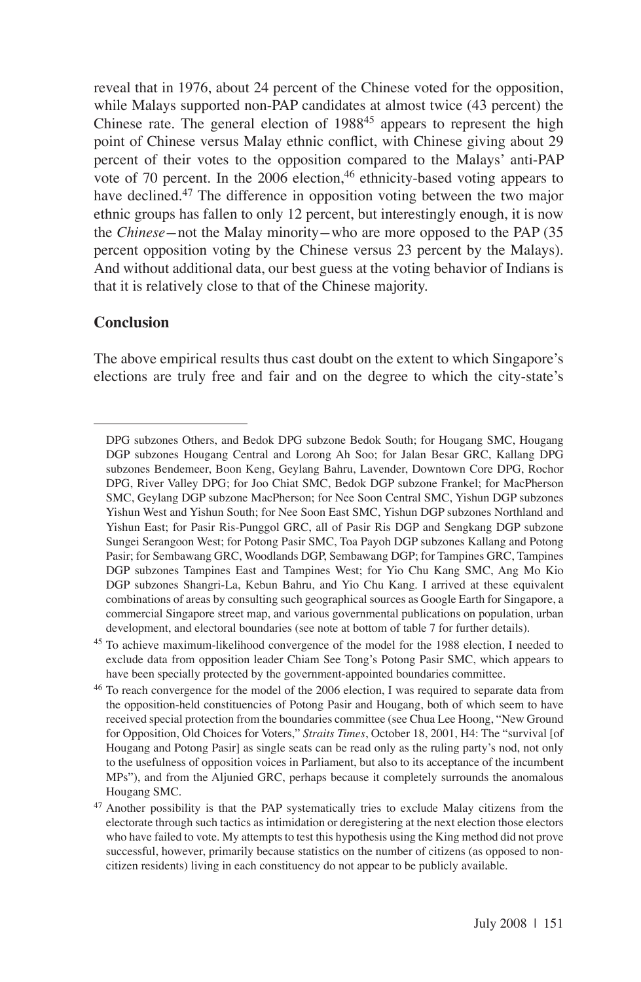reveal that in 1976, about 24 percent of the Chinese voted for the opposition, while Malays supported non-PAP candidates at almost twice (43 percent) the Chinese rate. The general election of 1988<sup>45</sup> appears to represent the high point of Chinese versus Malay ethnic conflict, with Chinese giving about 29 percent of their votes to the opposition compared to the Malays' anti-PAP vote of 70 percent. In the  $2006$  election,<sup>46</sup> ethnicity-based voting appears to have declined.<sup>47</sup> The difference in opposition voting between the two major ethnic groups has fallen to only 12 percent, but interestingly enough, it is now the *Chinese*-not the Malay minority-who are more opposed to the PAP (35 percent opposition voting by the Chinese versus 23 percent by the Malays). And without additional data, our best guess at the voting behavior of Indians is that it is relatively close to that of the Chinese majority.

### **Conclusion**

The above empirical results thus cast doubt on the extent to which Singapore's elections are truly free and fair and on the degree to which the city-state's

DPG subzones Others, and Bedok DPG subzone Bedok South; for Hougang SMC, Hougang DGP subzones Hougang Central and Lorong Ah Soo; for Jalan Besar GRC, Kallang DPG subzones Bendemeer, Boon Keng, Geylang Bahru, Lavender, Downtown Core DPG, Rochor DPG, River Valley DPG; for Joo Chiat SMC, Bedok DGP subzone Frankel; for MacPherson SMC, Geylang DGP subzone MacPherson; for Nee Soon Central SMC, Yishun DGP subzones Yishun West and Yishun South; for Nee Soon East SMC, Yishun DGP subzones Northland and Yishun East; for Pasir Ris-Punggol GRC, all of Pasir Ris DGP and Sengkang DGP subzone Sungei Serangoon West; for Potong Pasir SMC, Toa Payoh DGP subzones Kallang and Potong Pasir; for Sembawang GRC, Woodlands DGP, Sembawang DGP; for Tampines GRC, Tampines DGP subzones Tampines East and Tampines West; for Yio Chu Kang SMC, Ang Mo Kio DGP subzones Shangri-La, Kebun Bahru, and Yio Chu Kang. I arrived at these equivalent combinations of areas by consulting such geographical sources as Google Earth for Singapore, a commercial Singapore street map, and various governmental publications on population, urban development, and electoral boundaries (see note at bottom of table 7 for further details).

<sup>45</sup> To achieve maximum-likelihood convergence of the model for the 1988 election, I needed to exclude data from opposition leader Chiam See Tong's Potong Pasir SMC, which appears to have been specially protected by the government-appointed boundaries committee.

<sup>&</sup>lt;sup>46</sup> To reach convergence for the model of the 2006 election, I was required to separate data from the opposition-held constituencies of Potong Pasir and Hougang, both of which seem to have received special protection from the boundaries committee (see Chua Lee Hoong, "New Ground for Opposition, Old Choices for Voters," *Straits Times*, October 18, 2001, H4: The "survival [of Hougang and Potong Pasir] as single seats can be read only as the ruling party's nod, not only to the usefulness of opposition voices in Parliament, but also to its acceptance of the incumbent MPs"), and from the Aljunied GRC, perhaps because it completely surrounds the anomalous Hougang SMC.

<sup>&</sup>lt;sup>47</sup> Another possibility is that the PAP systematically tries to exclude Malay citizens from the electorate through such tactics as intimidation or deregistering at the next election those electors who have failed to vote. My attempts to test this hypothesis using the King method did not prove successful, however, primarily because statistics on the number of citizens (as opposed to noncitizen residents) living in each constituency do not appear to be publicly available.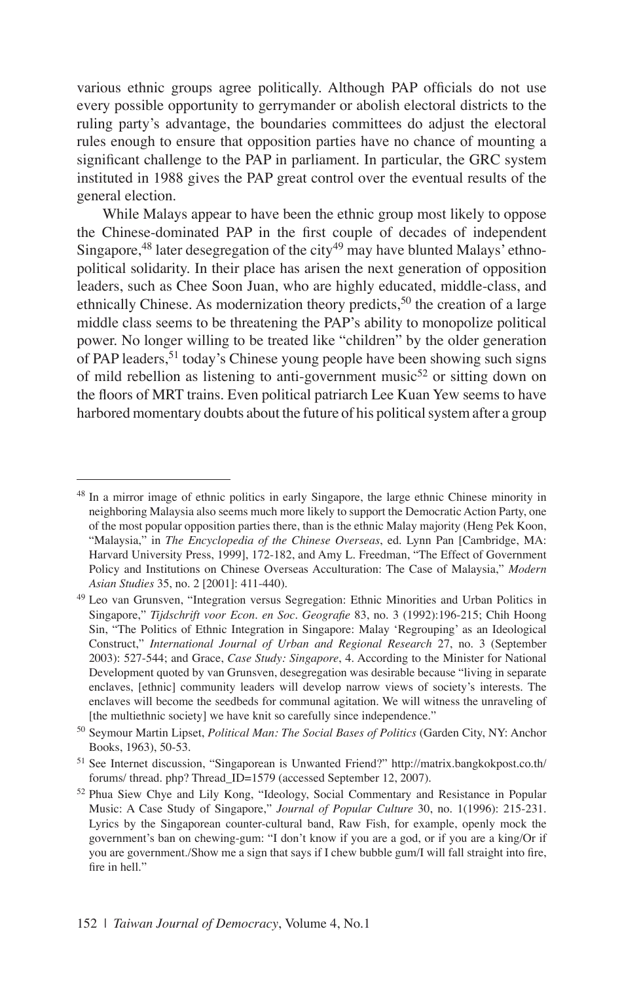various ethnic groups agree politically. Although PAP officials do not use every possible opportunity to gerrymander or abolish electoral districts to the ruling party's advantage, the boundaries committees do adjust the electoral rules enough to ensure that opposition parties have no chance of mounting a significant challenge to the PAP in parliament. In particular, the GRC system instituted in 1988 gives the PAP great control over the eventual results of the general election.

While Malays appear to have been the ethnic group most likely to oppose the Chinese-dominated PAP in the first couple of decades of independent Singapore,  $48$  later desegregation of the city  $49$  may have blunted Malays' ethnopolitical solidarity. In their place has arisen the next generation of opposition leaders, such as Chee Soon Juan, who are highly educated, middle-class, and ethnically Chinese. As modernization theory predicts,  $50$  the creation of a large middle class seems to be threatening the PAP's ability to monopolize political power. No longer willing to be treated like "children" by the older generation of PAP leaders,<sup>51</sup> today's Chinese young people have been showing such signs of mild rebellion as listening to anti-government music<sup>52</sup> or sitting down on the floors of MRT trains. Even political patriarch Lee Kuan Yew seems to have harbored momentary doubts about the future of his political system after a group

<sup>&</sup>lt;sup>48</sup> In a mirror image of ethnic politics in early Singapore, the large ethnic Chinese minority in neighboring Malaysia also seems much more likely to support the Democratic Action Party, one of the most popular opposition parties there, than is the ethnic Malay majority (Heng Pek Koon, "Malaysia," in *The Encyclopedia of the Chinese Overseas*, ed. Lynn Pan [Cambridge, MA: Harvard University Press, 1999], 172-182, and Amy L. Freedman, "The Effect of Government Policy and Institutions on Chinese Overseas Acculturation: The Case of Malaysia," *Modern Asian Studies* 35, no. 2 [2001]: 411-440).

<sup>49</sup> Leo van Grunsven, "Integration versus Segregation: Ethnic Minorities and Urban Politics in Singapore," *Tijdschrift voor Econ. en Soc. Geografie* 83, no. 3 (1992):196-215; Chih Hoong Sin, "The Politics of Ethnic Integration in Singapore: Malay 'Regrouping' as an Ideological Construct," *International Journal of Urban and Regional Research* 27, no. 3 (September 2003): 527-544; and Grace, *Case Study: Singapore*, 4. According to the Minister for National Development quoted by van Grunsven, desegregation was desirable because "living in separate enclaves, [ethnic] community leaders will develop narrow views of society's interests. The enclaves will become the seedbeds for communal agitation. We will witness the unraveling of [the multiethnic society] we have knit so carefully since independence."

<sup>50</sup> Seymour Martin Lipset, *Political Man: The Social Bases of Politics* (Garden City, NY: Anchor Books, 1963), 50-53.

<sup>51</sup> See Internet discussion, "Singaporean is Unwanted Friend?" http://matrix.bangkokpost.co.th/ forums/ thread. php? Thread\_ID=1579 (accessed September 12, 2007).

<sup>52</sup> Phua Siew Chye and Lily Kong, "Ideology, Social Commentary and Resistance in Popular Music: A Case Study of Singapore," *Journal of Popular Culture* 30, no. 1(1996): 215-231. Lyrics by the Singaporean counter-cultural band, Raw Fish, for example, openly mock the government's ban on chewing-gum: "I don't know if you are a god, or if you are a king/Or if you are government./Show me a sign that says if I chew bubble gum/I will fall straight into fire, fire in hell."